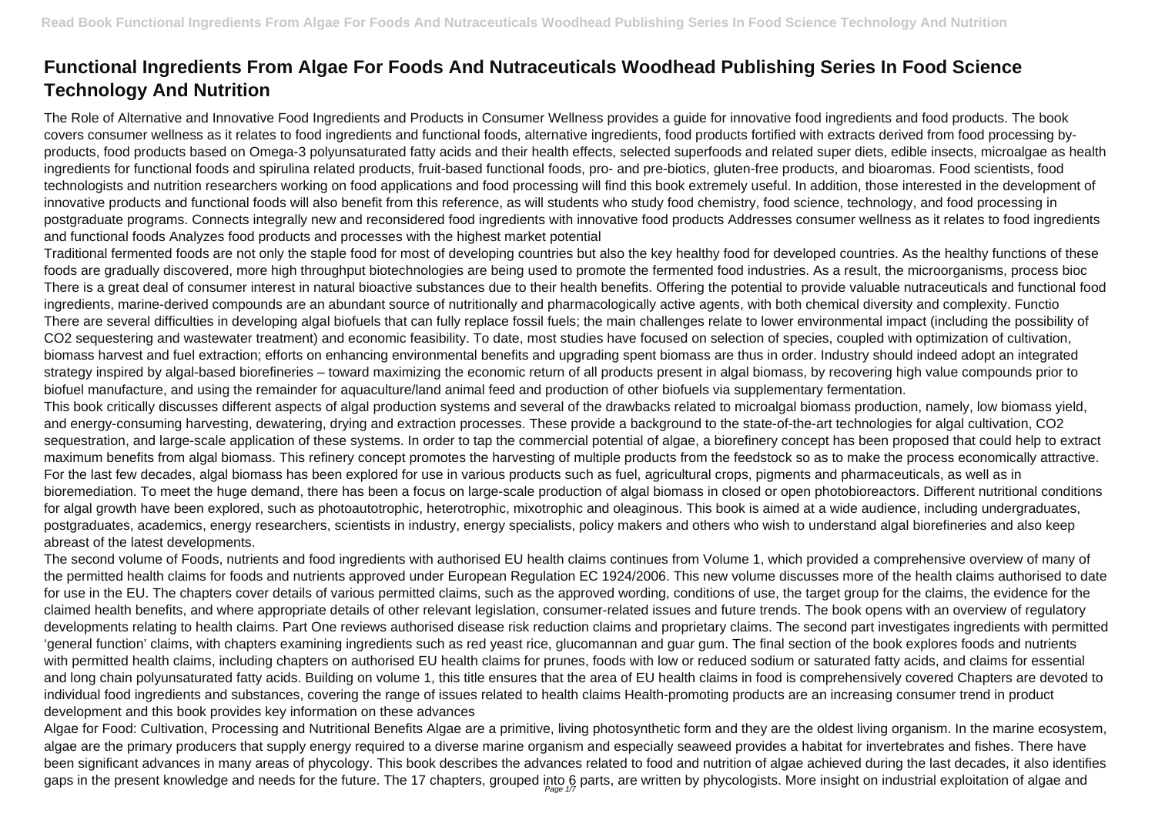## **Functional Ingredients From Algae For Foods And Nutraceuticals Woodhead Publishing Series In Food Science Technology And Nutrition**

The Role of Alternative and Innovative Food Ingredients and Products in Consumer Wellness provides a guide for innovative food ingredients and food products. The book covers consumer wellness as it relates to food ingredients and functional foods, alternative ingredients, food products fortified with extracts derived from food processing byproducts, food products based on Omega-3 polyunsaturated fatty acids and their health effects, selected superfoods and related super diets, edible insects, microalgae as health ingredients for functional foods and spirulina related products, fruit-based functional foods, pro- and pre-biotics, gluten-free products, and bioaromas. Food scientists, food technologists and nutrition researchers working on food applications and food processing will find this book extremely useful. In addition, those interested in the development of innovative products and functional foods will also benefit from this reference, as will students who study food chemistry, food science, technology, and food processing in postgraduate programs. Connects integrally new and reconsidered food ingredients with innovative food products Addresses consumer wellness as it relates to food ingredients and functional foods Analyzes food products and processes with the highest market potential

Traditional fermented foods are not only the staple food for most of developing countries but also the key healthy food for developed countries. As the healthy functions of these foods are gradually discovered, more high throughput biotechnologies are being used to promote the fermented food industries. As a result, the microorganisms, process bioc There is a great deal of consumer interest in natural bioactive substances due to their health benefits. Offering the potential to provide valuable nutraceuticals and functional food ingredients, marine-derived compounds are an abundant source of nutritionally and pharmacologically active agents, with both chemical diversity and complexity. Functio There are several difficulties in developing algal biofuels that can fully replace fossil fuels; the main challenges relate to lower environmental impact (including the possibility of CO2 sequestering and wastewater treatment) and economic feasibility. To date, most studies have focused on selection of species, coupled with optimization of cultivation, biomass harvest and fuel extraction; efforts on enhancing environmental benefits and upgrading spent biomass are thus in order. Industry should indeed adopt an integrated strategy inspired by algal-based biorefineries – toward maximizing the economic return of all products present in algal biomass, by recovering high value compounds prior to biofuel manufacture, and using the remainder for aquaculture/land animal feed and production of other biofuels via supplementary fermentation. This book critically discusses different aspects of algal production systems and several of the drawbacks related to microalgal biomass production, namely, low biomass yield, and energy-consuming harvesting, dewatering, drying and extraction processes. These provide a background to the state-of-the-art technologies for algal cultivation, CO2 sequestration, and large-scale application of these systems. In order to tap the commercial potential of algae, a biorefinery concept has been proposed that could help to extract maximum benefits from algal biomass. This refinery concept promotes the harvesting of multiple products from the feedstock so as to make the process economically attractive. For the last few decades, algal biomass has been explored for use in various products such as fuel, agricultural crops, pigments and pharmaceuticals, as well as in bioremediation. To meet the huge demand, there has been a focus on large-scale production of algal biomass in closed or open photobioreactors. Different nutritional conditions for algal growth have been explored, such as photoautotrophic, heterotrophic, mixotrophic and oleaginous. This book is aimed at a wide audience, including undergraduates, postgraduates, academics, energy researchers, scientists in industry, energy specialists, policy makers and others who wish to understand algal biorefineries and also keep abreast of the latest developments.

The second volume of Foods, nutrients and food ingredients with authorised EU health claims continues from Volume 1, which provided a comprehensive overview of many of the permitted health claims for foods and nutrients approved under European Regulation EC 1924/2006. This new volume discusses more of the health claims authorised to date for use in the EU. The chapters cover details of various permitted claims, such as the approved wording, conditions of use, the target group for the claims, the evidence for the claimed health benefits, and where appropriate details of other relevant legislation, consumer-related issues and future trends. The book opens with an overview of regulatory developments relating to health claims. Part One reviews authorised disease risk reduction claims and proprietary claims. The second part investigates ingredients with permitted 'general function' claims, with chapters examining ingredients such as red yeast rice, glucomannan and guar gum. The final section of the book explores foods and nutrients with permitted health claims, including chapters on authorised EU health claims for prunes, foods with low or reduced sodium or saturated fatty acids, and claims for essential and long chain polyunsaturated fatty acids. Building on volume 1, this title ensures that the area of EU health claims in food is comprehensively covered Chapters are devoted to individual food ingredients and substances, covering the range of issues related to health claims Health-promoting products are an increasing consumer trend in product development and this book provides key information on these advances

Algae for Food: Cultivation, Processing and Nutritional Benefits Algae are a primitive, living photosynthetic form and they are the oldest living organism. In the marine ecosystem, algae are the primary producers that supply energy required to a diverse marine organism and especially seaweed provides a habitat for invertebrates and fishes. There have been significant advances in many areas of phycology. This book describes the advances related to food and nutrition of algae achieved during the last decades, it also identifies gaps in the present knowledge and needs for the future. The 17 chapters, grouped into 6 parts, are written by phycologists. More insight on industrial exploitation of algae and Page 1/7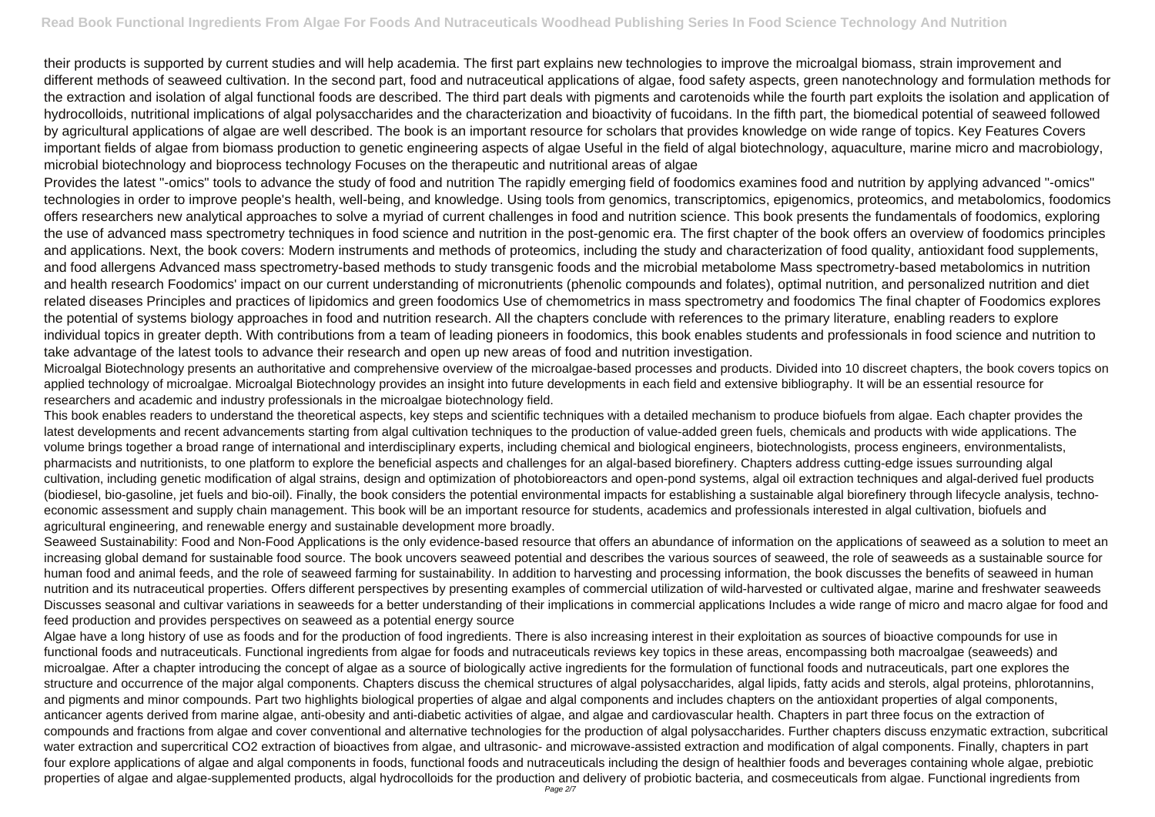their products is supported by current studies and will help academia. The first part explains new technologies to improve the microalgal biomass, strain improvement and different methods of seaweed cultivation. In the second part, food and nutraceutical applications of algae, food safety aspects, green nanotechnology and formulation methods for the extraction and isolation of algal functional foods are described. The third part deals with pigments and carotenoids while the fourth part exploits the isolation and application of hydrocolloids, nutritional implications of algal polysaccharides and the characterization and bioactivity of fucoidans. In the fifth part, the biomedical potential of seaweed followed by agricultural applications of algae are well described. The book is an important resource for scholars that provides knowledge on wide range of topics. Key Features Covers important fields of algae from biomass production to genetic engineering aspects of algae Useful in the field of algal biotechnology, aquaculture, marine micro and macrobiology, microbial biotechnology and bioprocess technology Focuses on the therapeutic and nutritional areas of algae

Provides the latest "-omics" tools to advance the study of food and nutrition The rapidly emerging field of foodomics examines food and nutrition by applying advanced "-omics" technologies in order to improve people's health, well-being, and knowledge. Using tools from genomics, transcriptomics, epigenomics, proteomics, and metabolomics, foodomics offers researchers new analytical approaches to solve a myriad of current challenges in food and nutrition science. This book presents the fundamentals of foodomics, exploring the use of advanced mass spectrometry techniques in food science and nutrition in the post-genomic era. The first chapter of the book offers an overview of foodomics principles and applications. Next, the book covers: Modern instruments and methods of proteomics, including the study and characterization of food quality, antioxidant food supplements, and food allergens Advanced mass spectrometry-based methods to study transgenic foods and the microbial metabolome Mass spectrometry-based metabolomics in nutrition and health research Foodomics' impact on our current understanding of micronutrients (phenolic compounds and folates), optimal nutrition, and personalized nutrition and diet related diseases Principles and practices of lipidomics and green foodomics Use of chemometrics in mass spectrometry and foodomics The final chapter of Foodomics explores the potential of systems biology approaches in food and nutrition research. All the chapters conclude with references to the primary literature, enabling readers to explore individual topics in greater depth. With contributions from a team of leading pioneers in foodomics, this book enables students and professionals in food science and nutrition to take advantage of the latest tools to advance their research and open up new areas of food and nutrition investigation.

Seaweed Sustainability: Food and Non-Food Applications is the only evidence-based resource that offers an abundance of information on the applications of seaweed as a solution to meet an increasing global demand for sustainable food source. The book uncovers seaweed potential and describes the various sources of seaweed, the role of seaweeds as a sustainable source for human food and animal feeds, and the role of seaweed farming for sustainability. In addition to harvesting and processing information, the book discusses the benefits of seaweed in human nutrition and its nutraceutical properties. Offers different perspectives by presenting examples of commercial utilization of wild-harvested or cultivated algae, marine and freshwater seaweeds Discusses seasonal and cultivar variations in seaweeds for a better understanding of their implications in commercial applications Includes a wide range of micro and macro algae for food and feed production and provides perspectives on seaweed as a potential energy source

Microalgal Biotechnology presents an authoritative and comprehensive overview of the microalgae-based processes and products. Divided into 10 discreet chapters, the book covers topics on applied technology of microalgae. Microalgal Biotechnology provides an insight into future developments in each field and extensive bibliography. It will be an essential resource for researchers and academic and industry professionals in the microalgae biotechnology field.

Algae have a long history of use as foods and for the production of food ingredients. There is also increasing interest in their exploitation as sources of bioactive compounds for use in functional foods and nutraceuticals. Functional ingredients from algae for foods and nutraceuticals reviews key topics in these areas, encompassing both macroalgae (seaweeds) and microalgae. After a chapter introducing the concept of algae as a source of biologically active ingredients for the formulation of functional foods and nutraceuticals, part one explores the structure and occurrence of the major algal components. Chapters discuss the chemical structures of algal polysaccharides, algal lipids, fatty acids and sterols, algal proteins, phlorotannins, and pigments and minor compounds. Part two highlights biological properties of algae and algal components and includes chapters on the antioxidant properties of algal components, anticancer agents derived from marine algae, anti-obesity and anti-diabetic activities of algae, and algae and cardiovascular health. Chapters in part three focus on the extraction of compounds and fractions from algae and cover conventional and alternative technologies for the production of algal polysaccharides. Further chapters discuss enzymatic extraction, subcritical water extraction and supercritical CO2 extraction of bioactives from algae, and ultrasonic- and microwave-assisted extraction and modification of algal components. Finally, chapters in part four explore applications of algae and algal components in foods, functional foods and nutraceuticals including the design of healthier foods and beverages containing whole algae, prebiotic properties of algae and algae-supplemented products, algal hydrocolloids for the production and delivery of probiotic bacteria, and cosmeceuticals from algae. Functional ingredients from

This book enables readers to understand the theoretical aspects, key steps and scientific techniques with a detailed mechanism to produce biofuels from algae. Each chapter provides the latest developments and recent advancements starting from algal cultivation techniques to the production of value-added green fuels, chemicals and products with wide applications. The volume brings together a broad range of international and interdisciplinary experts, including chemical and biological engineers, biotechnologists, process engineers, environmentalists, pharmacists and nutritionists, to one platform to explore the beneficial aspects and challenges for an algal-based biorefinery. Chapters address cutting-edge issues surrounding algal cultivation, including genetic modification of algal strains, design and optimization of photobioreactors and open-pond systems, algal oil extraction techniques and algal-derived fuel products (biodiesel, bio-gasoline, jet fuels and bio-oil). Finally, the book considers the potential environmental impacts for establishing a sustainable algal biorefinery through lifecycle analysis, technoeconomic assessment and supply chain management. This book will be an important resource for students, academics and professionals interested in algal cultivation, biofuels and agricultural engineering, and renewable energy and sustainable development more broadly.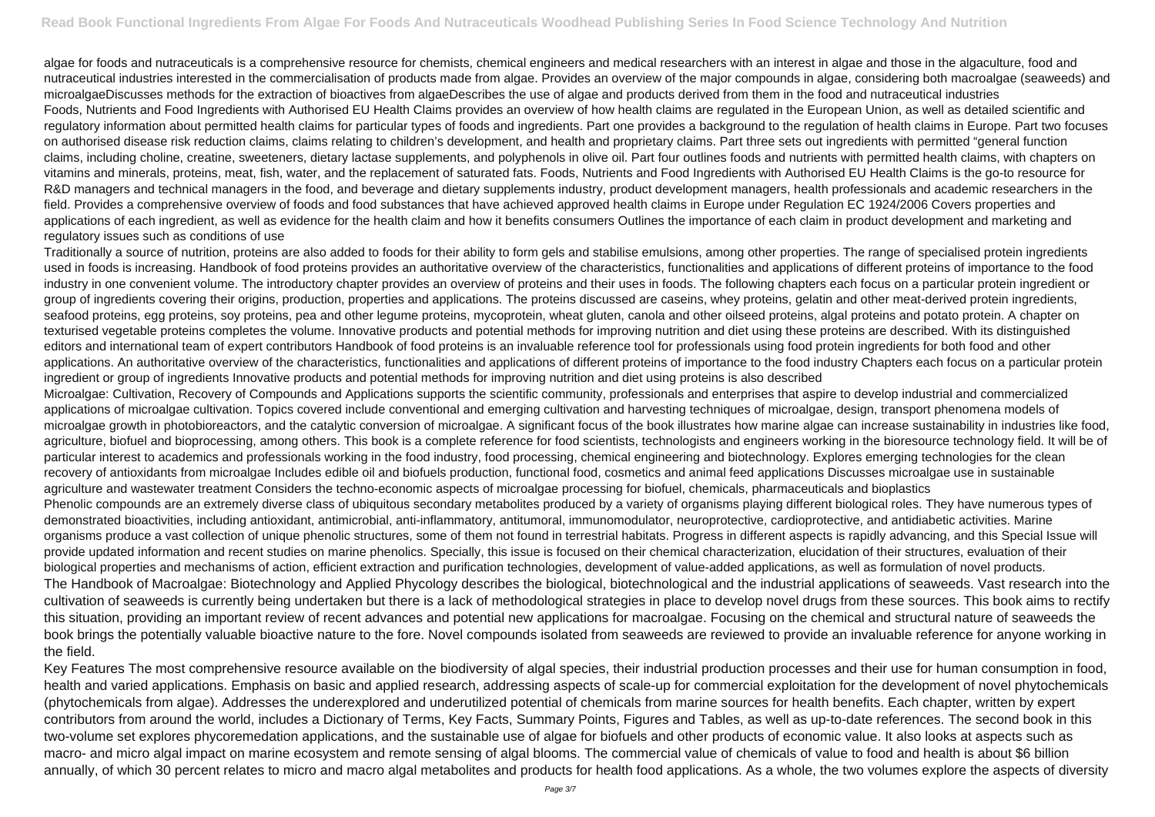algae for foods and nutraceuticals is a comprehensive resource for chemists, chemical engineers and medical researchers with an interest in algae and those in the algaculture, food and nutraceutical industries interested in the commercialisation of products made from algae. Provides an overview of the major compounds in algae, considering both macroalgae (seaweeds) and microalgaeDiscusses methods for the extraction of bioactives from algaeDescribes the use of algae and products derived from them in the food and nutraceutical industries Foods, Nutrients and Food Ingredients with Authorised EU Health Claims provides an overview of how health claims are regulated in the European Union, as well as detailed scientific and regulatory information about permitted health claims for particular types of foods and ingredients. Part one provides a background to the regulation of health claims in Europe. Part two focuses on authorised disease risk reduction claims, claims relating to children's development, and health and proprietary claims. Part three sets out ingredients with permitted "general function claims, including choline, creatine, sweeteners, dietary lactase supplements, and polyphenols in olive oil. Part four outlines foods and nutrients with permitted health claims, with chapters on vitamins and minerals, proteins, meat, fish, water, and the replacement of saturated fats. Foods, Nutrients and Food Ingredients with Authorised EU Health Claims is the go-to resource for R&D managers and technical managers in the food, and beverage and dietary supplements industry, product development managers, health professionals and academic researchers in the field. Provides a comprehensive overview of foods and food substances that have achieved approved health claims in Europe under Regulation EC 1924/2006 Covers properties and applications of each ingredient, as well as evidence for the health claim and how it benefits consumers Outlines the importance of each claim in product development and marketing and regulatory issues such as conditions of use

Traditionally a source of nutrition, proteins are also added to foods for their ability to form gels and stabilise emulsions, among other properties. The range of specialised protein ingredients used in foods is increasing. Handbook of food proteins provides an authoritative overview of the characteristics, functionalities and applications of different proteins of importance to the food industry in one convenient volume. The introductory chapter provides an overview of proteins and their uses in foods. The following chapters each focus on a particular protein ingredient or group of ingredients covering their origins, production, properties and applications. The proteins discussed are caseins, whey proteins, gelatin and other meat-derived protein ingredients, seafood proteins, egg proteins, soy proteins, pea and other legume proteins, mycoprotein, wheat gluten, canola and other oilseed proteins, algal proteins and potato protein. A chapter on texturised vegetable proteins completes the volume. Innovative products and potential methods for improving nutrition and diet using these proteins are described. With its distinguished editors and international team of expert contributors Handbook of food proteins is an invaluable reference tool for professionals using food protein ingredients for both food and other applications. An authoritative overview of the characteristics, functionalities and applications of different proteins of importance to the food industry Chapters each focus on a particular protein ingredient or group of ingredients Innovative products and potential methods for improving nutrition and diet using proteins is also described

Microalgae: Cultivation, Recovery of Compounds and Applications supports the scientific community, professionals and enterprises that aspire to develop industrial and commercialized applications of microalgae cultivation. Topics covered include conventional and emerging cultivation and harvesting techniques of microalgae, design, transport phenomena models of microalgae growth in photobioreactors, and the catalytic conversion of microalgae. A significant focus of the book illustrates how marine algae can increase sustainability in industries like food, agriculture, biofuel and bioprocessing, among others. This book is a complete reference for food scientists, technologists and engineers working in the bioresource technology field. It will be of particular interest to academics and professionals working in the food industry, food processing, chemical engineering and biotechnology. Explores emerging technologies for the clean recovery of antioxidants from microalgae Includes edible oil and biofuels production, functional food, cosmetics and animal feed applications Discusses microalgae use in sustainable agriculture and wastewater treatment Considers the techno-economic aspects of microalgae processing for biofuel, chemicals, pharmaceuticals and bioplastics Phenolic compounds are an extremely diverse class of ubiquitous secondary metabolites produced by a variety of organisms playing different biological roles. They have numerous types of demonstrated bioactivities, including antioxidant, antimicrobial, anti-inflammatory, antitumoral, immunomodulator, neuroprotective, cardioprotective, and antidiabetic activities. Marine organisms produce a vast collection of unique phenolic structures, some of them not found in terrestrial habitats. Progress in different aspects is rapidly advancing, and this Special Issue will provide updated information and recent studies on marine phenolics. Specially, this issue is focused on their chemical characterization, elucidation of their structures, evaluation of their biological properties and mechanisms of action, efficient extraction and purification technologies, development of value-added applications, as well as formulation of novel products. The Handbook of Macroalgae: Biotechnology and Applied Phycology describes the biological, biotechnological and the industrial applications of seaweeds. Vast research into the cultivation of seaweeds is currently being undertaken but there is a lack of methodological strategies in place to develop novel drugs from these sources. This book aims to rectify this situation, providing an important review of recent advances and potential new applications for macroalgae. Focusing on the chemical and structural nature of seaweeds the book brings the potentially valuable bioactive nature to the fore. Novel compounds isolated from seaweeds are reviewed to provide an invaluable reference for anyone working in the field.

Key Features The most comprehensive resource available on the biodiversity of algal species, their industrial production processes and their use for human consumption in food, health and varied applications. Emphasis on basic and applied research, addressing aspects of scale-up for commercial exploitation for the development of novel phytochemicals (phytochemicals from algae). Addresses the underexplored and underutilized potential of chemicals from marine sources for health benefits. Each chapter, written by expert contributors from around the world, includes a Dictionary of Terms, Key Facts, Summary Points, Figures and Tables, as well as up-to-date references. The second book in this two-volume set explores phycoremedation applications, and the sustainable use of algae for biofuels and other products of economic value. It also looks at aspects such as macro- and micro algal impact on marine ecosystem and remote sensing of algal blooms. The commercial value of chemicals of value to food and health is about \$6 billion annually, of which 30 percent relates to micro and macro algal metabolites and products for health food applications. As a whole, the two volumes explore the aspects of diversity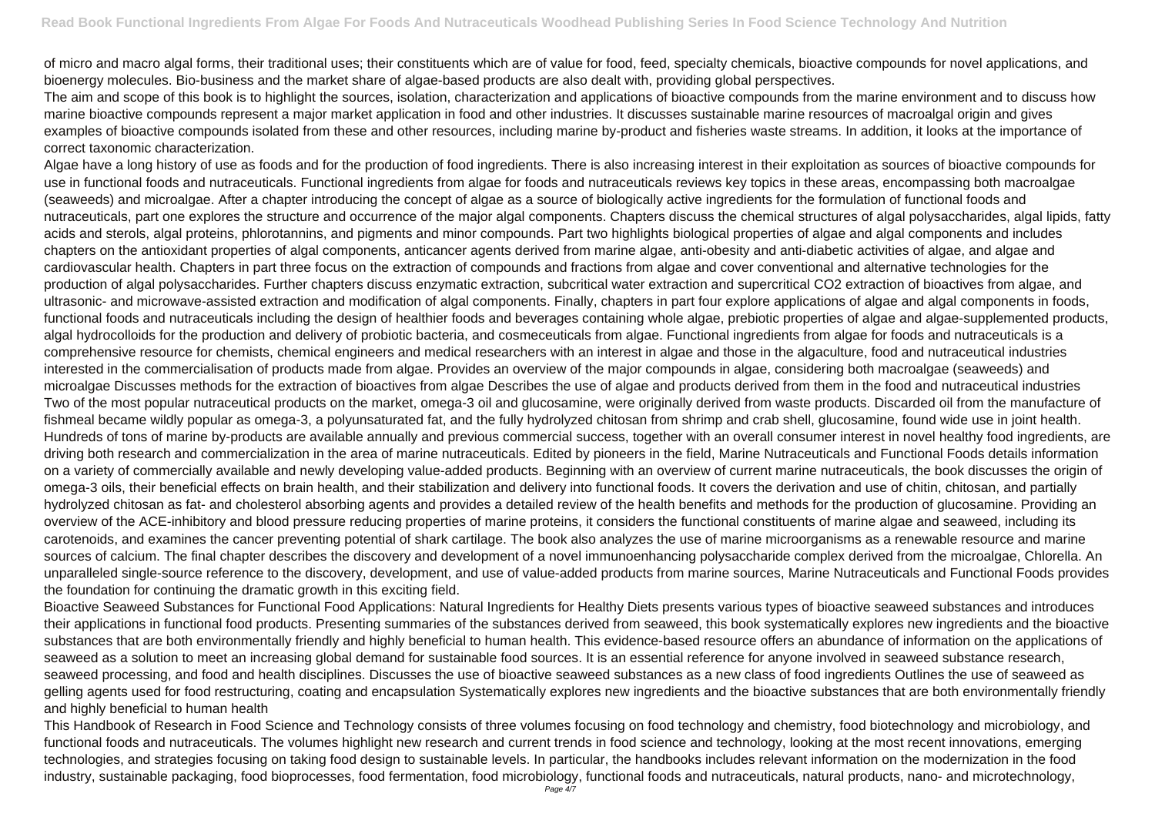of micro and macro algal forms, their traditional uses; their constituents which are of value for food, feed, specialty chemicals, bioactive compounds for novel applications, and bioenergy molecules. Bio-business and the market share of algae-based products are also dealt with, providing global perspectives.

The aim and scope of this book is to highlight the sources, isolation, characterization and applications of bioactive compounds from the marine environment and to discuss how marine bioactive compounds represent a major market application in food and other industries. It discusses sustainable marine resources of macroalgal origin and gives examples of bioactive compounds isolated from these and other resources, including marine by-product and fisheries waste streams. In addition, it looks at the importance of correct taxonomic characterization.

Algae have a long history of use as foods and for the production of food ingredients. There is also increasing interest in their exploitation as sources of bioactive compounds for use in functional foods and nutraceuticals. Functional ingredients from algae for foods and nutraceuticals reviews key topics in these areas, encompassing both macroalgae (seaweeds) and microalgae. After a chapter introducing the concept of algae as a source of biologically active ingredients for the formulation of functional foods and nutraceuticals, part one explores the structure and occurrence of the major algal components. Chapters discuss the chemical structures of algal polysaccharides, algal lipids, fatty acids and sterols, algal proteins, phlorotannins, and pigments and minor compounds. Part two highlights biological properties of algae and algal components and includes chapters on the antioxidant properties of algal components, anticancer agents derived from marine algae, anti-obesity and anti-diabetic activities of algae, and algae and cardiovascular health. Chapters in part three focus on the extraction of compounds and fractions from algae and cover conventional and alternative technologies for the production of algal polysaccharides. Further chapters discuss enzymatic extraction, subcritical water extraction and supercritical CO2 extraction of bioactives from algae, and ultrasonic- and microwave-assisted extraction and modification of algal components. Finally, chapters in part four explore applications of algae and algal components in foods, functional foods and nutraceuticals including the design of healthier foods and beverages containing whole algae, prebiotic properties of algae and algae-supplemented products, algal hydrocolloids for the production and delivery of probiotic bacteria, and cosmeceuticals from algae. Functional ingredients from algae for foods and nutraceuticals is a comprehensive resource for chemists, chemical engineers and medical researchers with an interest in algae and those in the algaculture, food and nutraceutical industries interested in the commercialisation of products made from algae. Provides an overview of the major compounds in algae, considering both macroalgae (seaweeds) and microalgae Discusses methods for the extraction of bioactives from algae Describes the use of algae and products derived from them in the food and nutraceutical industries Two of the most popular nutraceutical products on the market, omega-3 oil and glucosamine, were originally derived from waste products. Discarded oil from the manufacture of fishmeal became wildly popular as omega-3, a polyunsaturated fat, and the fully hydrolyzed chitosan from shrimp and crab shell, glucosamine, found wide use in joint health. Hundreds of tons of marine by-products are available annually and previous commercial success, together with an overall consumer interest in novel healthy food ingredients, are driving both research and commercialization in the area of marine nutraceuticals. Edited by pioneers in the field, Marine Nutraceuticals and Functional Foods details information on a variety of commercially available and newly developing value-added products. Beginning with an overview of current marine nutraceuticals, the book discusses the origin of omega-3 oils, their beneficial effects on brain health, and their stabilization and delivery into functional foods. It covers the derivation and use of chitin, chitosan, and partially hydrolyzed chitosan as fat- and cholesterol absorbing agents and provides a detailed review of the health benefits and methods for the production of glucosamine. Providing an overview of the ACE-inhibitory and blood pressure reducing properties of marine proteins, it considers the functional constituents of marine algae and seaweed, including its carotenoids, and examines the cancer preventing potential of shark cartilage. The book also analyzes the use of marine microorganisms as a renewable resource and marine sources of calcium. The final chapter describes the discovery and development of a novel immunoenhancing polysaccharide complex derived from the microalgae, Chlorella. An unparalleled single-source reference to the discovery, development, and use of value-added products from marine sources, Marine Nutraceuticals and Functional Foods provides the foundation for continuing the dramatic growth in this exciting field.

Bioactive Seaweed Substances for Functional Food Applications: Natural Ingredients for Healthy Diets presents various types of bioactive seaweed substances and introduces their applications in functional food products. Presenting summaries of the substances derived from seaweed, this book systematically explores new ingredients and the bioactive substances that are both environmentally friendly and highly beneficial to human health. This evidence-based resource offers an abundance of information on the applications of seaweed as a solution to meet an increasing global demand for sustainable food sources. It is an essential reference for anyone involved in seaweed substance research, seaweed processing, and food and health disciplines. Discusses the use of bioactive seaweed substances as a new class of food ingredients Outlines the use of seaweed as gelling agents used for food restructuring, coating and encapsulation Systematically explores new ingredients and the bioactive substances that are both environmentally friendly and highly beneficial to human health

This Handbook of Research in Food Science and Technology consists of three volumes focusing on food technology and chemistry, food biotechnology and microbiology, and functional foods and nutraceuticals. The volumes highlight new research and current trends in food science and technology, looking at the most recent innovations, emerging technologies, and strategies focusing on taking food design to sustainable levels. In particular, the handbooks includes relevant information on the modernization in the food industry, sustainable packaging, food bioprocesses, food fermentation, food microbiology, functional foods and nutraceuticals, natural products, nano- and microtechnology,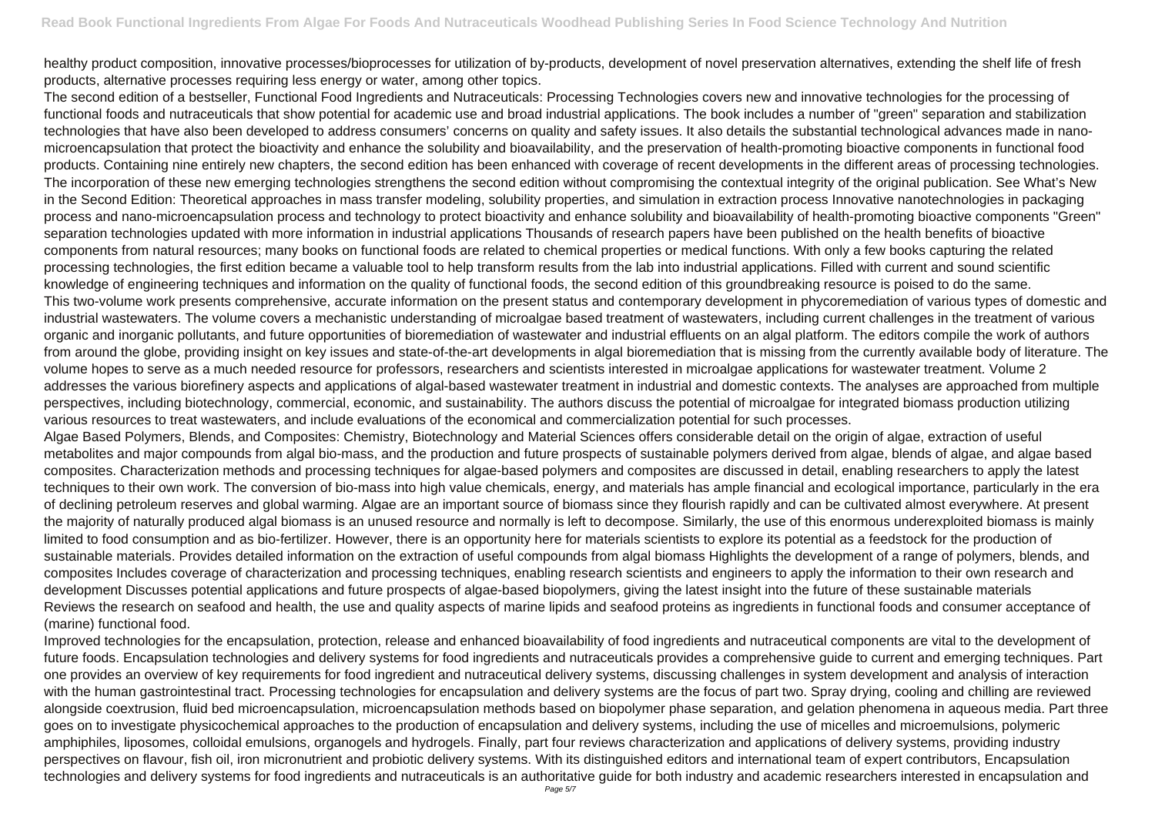healthy product composition, innovative processes/bioprocesses for utilization of by-products, development of novel preservation alternatives, extending the shelf life of fresh products, alternative processes requiring less energy or water, among other topics.

The second edition of a bestseller, Functional Food Ingredients and Nutraceuticals: Processing Technologies covers new and innovative technologies for the processing of functional foods and nutraceuticals that show potential for academic use and broad industrial applications. The book includes a number of "green" separation and stabilization technologies that have also been developed to address consumers' concerns on quality and safety issues. It also details the substantial technological advances made in nanomicroencapsulation that protect the bioactivity and enhance the solubility and bioavailability, and the preservation of health-promoting bioactive components in functional food products. Containing nine entirely new chapters, the second edition has been enhanced with coverage of recent developments in the different areas of processing technologies. The incorporation of these new emerging technologies strengthens the second edition without compromising the contextual integrity of the original publication. See What's New in the Second Edition: Theoretical approaches in mass transfer modeling, solubility properties, and simulation in extraction process Innovative nanotechnologies in packaging process and nano-microencapsulation process and technology to protect bioactivity and enhance solubility and bioavailability of health-promoting bioactive components "Green" separation technologies updated with more information in industrial applications Thousands of research papers have been published on the health benefits of bioactive components from natural resources; many books on functional foods are related to chemical properties or medical functions. With only a few books capturing the related processing technologies, the first edition became a valuable tool to help transform results from the lab into industrial applications. Filled with current and sound scientific knowledge of engineering techniques and information on the quality of functional foods, the second edition of this groundbreaking resource is poised to do the same. This two-volume work presents comprehensive, accurate information on the present status and contemporary development in phycoremediation of various types of domestic and industrial wastewaters. The volume covers a mechanistic understanding of microalgae based treatment of wastewaters, including current challenges in the treatment of various organic and inorganic pollutants, and future opportunities of bioremediation of wastewater and industrial effluents on an algal platform. The editors compile the work of authors from around the globe, providing insight on key issues and state-of-the-art developments in algal bioremediation that is missing from the currently available body of literature. The volume hopes to serve as a much needed resource for professors, researchers and scientists interested in microalgae applications for wastewater treatment. Volume 2 addresses the various biorefinery aspects and applications of algal-based wastewater treatment in industrial and domestic contexts. The analyses are approached from multiple perspectives, including biotechnology, commercial, economic, and sustainability. The authors discuss the potential of microalgae for integrated biomass production utilizing various resources to treat wastewaters, and include evaluations of the economical and commercialization potential for such processes. Algae Based Polymers, Blends, and Composites: Chemistry, Biotechnology and Material Sciences offers considerable detail on the origin of algae, extraction of useful metabolites and major compounds from algal bio-mass, and the production and future prospects of sustainable polymers derived from algae, blends of algae, and algae based composites. Characterization methods and processing techniques for algae-based polymers and composites are discussed in detail, enabling researchers to apply the latest techniques to their own work. The conversion of bio-mass into high value chemicals, energy, and materials has ample financial and ecological importance, particularly in the era of declining petroleum reserves and global warming. Algae are an important source of biomass since they flourish rapidly and can be cultivated almost everywhere. At present the majority of naturally produced algal biomass is an unused resource and normally is left to decompose. Similarly, the use of this enormous underexploited biomass is mainly limited to food consumption and as bio-fertilizer. However, there is an opportunity here for materials scientists to explore its potential as a feedstock for the production of sustainable materials. Provides detailed information on the extraction of useful compounds from algal biomass Highlights the development of a range of polymers, blends, and composites Includes coverage of characterization and processing techniques, enabling research scientists and engineers to apply the information to their own research and development Discusses potential applications and future prospects of algae-based biopolymers, giving the latest insight into the future of these sustainable materials Reviews the research on seafood and health, the use and quality aspects of marine lipids and seafood proteins as ingredients in functional foods and consumer acceptance of (marine) functional food.

Improved technologies for the encapsulation, protection, release and enhanced bioavailability of food ingredients and nutraceutical components are vital to the development of future foods. Encapsulation technologies and delivery systems for food ingredients and nutraceuticals provides a comprehensive guide to current and emerging techniques. Part one provides an overview of key requirements for food ingredient and nutraceutical delivery systems, discussing challenges in system development and analysis of interaction with the human gastrointestinal tract. Processing technologies for encapsulation and delivery systems are the focus of part two. Spray drying, cooling and chilling are reviewed alongside coextrusion, fluid bed microencapsulation, microencapsulation methods based on biopolymer phase separation, and gelation phenomena in aqueous media. Part three goes on to investigate physicochemical approaches to the production of encapsulation and delivery systems, including the use of micelles and microemulsions, polymeric amphiphiles, liposomes, colloidal emulsions, organogels and hydrogels. Finally, part four reviews characterization and applications of delivery systems, providing industry perspectives on flavour, fish oil, iron micronutrient and probiotic delivery systems. With its distinguished editors and international team of expert contributors, Encapsulation technologies and delivery systems for food ingredients and nutraceuticals is an authoritative guide for both industry and academic researchers interested in encapsulation and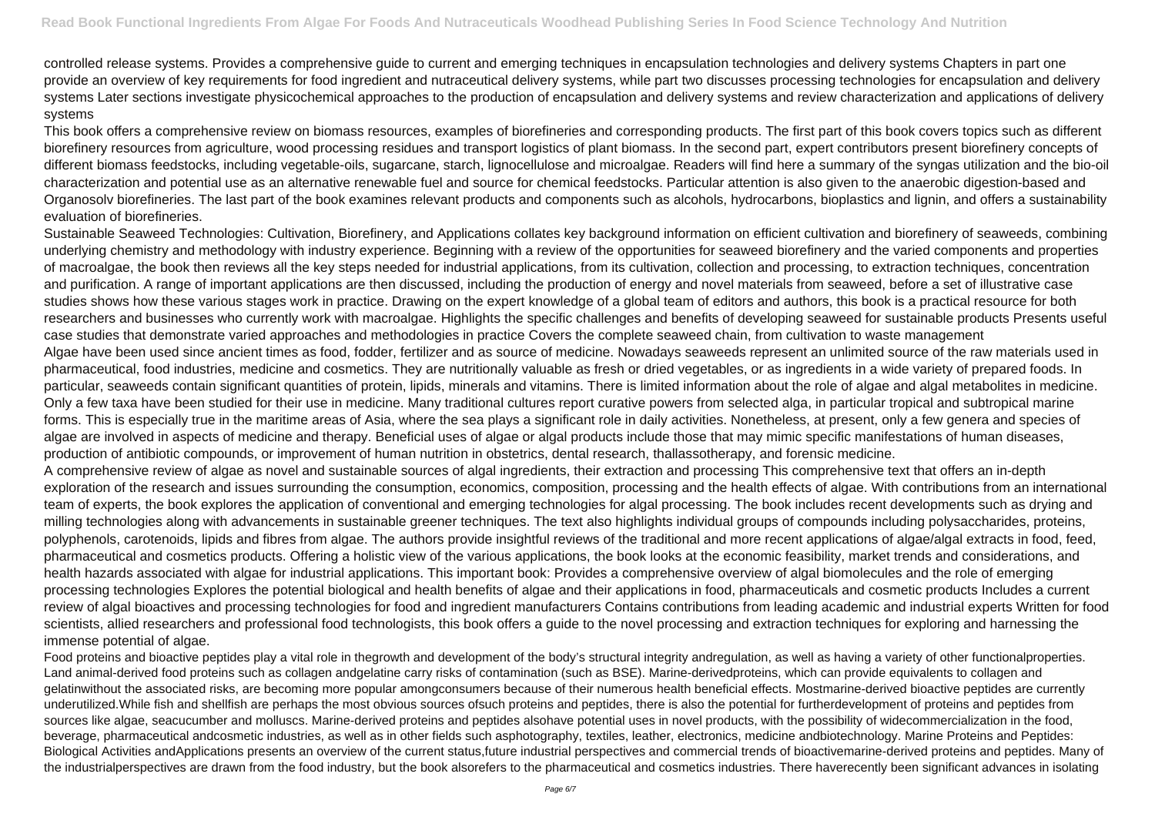controlled release systems. Provides a comprehensive guide to current and emerging techniques in encapsulation technologies and delivery systems Chapters in part one provide an overview of key requirements for food ingredient and nutraceutical delivery systems, while part two discusses processing technologies for encapsulation and delivery systems Later sections investigate physicochemical approaches to the production of encapsulation and delivery systems and review characterization and applications of delivery systems

This book offers a comprehensive review on biomass resources, examples of biorefineries and corresponding products. The first part of this book covers topics such as different biorefinery resources from agriculture, wood processing residues and transport logistics of plant biomass. In the second part, expert contributors present biorefinery concepts of different biomass feedstocks, including vegetable-oils, sugarcane, starch, lignocellulose and microalgae. Readers will find here a summary of the syngas utilization and the bio-oil characterization and potential use as an alternative renewable fuel and source for chemical feedstocks. Particular attention is also given to the anaerobic digestion-based and Organosolv biorefineries. The last part of the book examines relevant products and components such as alcohols, hydrocarbons, bioplastics and lignin, and offers a sustainability evaluation of biorefineries.

Sustainable Seaweed Technologies: Cultivation, Biorefinery, and Applications collates key background information on efficient cultivation and biorefinery of seaweeds, combining underlying chemistry and methodology with industry experience. Beginning with a review of the opportunities for seaweed biorefinery and the varied components and properties of macroalgae, the book then reviews all the key steps needed for industrial applications, from its cultivation, collection and processing, to extraction techniques, concentration and purification. A range of important applications are then discussed, including the production of energy and novel materials from seaweed, before a set of illustrative case studies shows how these various stages work in practice. Drawing on the expert knowledge of a global team of editors and authors, this book is a practical resource for both researchers and businesses who currently work with macroalgae. Highlights the specific challenges and benefits of developing seaweed for sustainable products Presents useful case studies that demonstrate varied approaches and methodologies in practice Covers the complete seaweed chain, from cultivation to waste management Algae have been used since ancient times as food, fodder, fertilizer and as source of medicine. Nowadays seaweeds represent an unlimited source of the raw materials used in pharmaceutical, food industries, medicine and cosmetics. They are nutritionally valuable as fresh or dried vegetables, or as ingredients in a wide variety of prepared foods. In particular, seaweeds contain significant quantities of protein, lipids, minerals and vitamins. There is limited information about the role of algae and algal metabolites in medicine. Only a few taxa have been studied for their use in medicine. Many traditional cultures report curative powers from selected alga, in particular tropical and subtropical marine forms. This is especially true in the maritime areas of Asia, where the sea plays a significant role in daily activities. Nonetheless, at present, only a few genera and species of algae are involved in aspects of medicine and therapy. Beneficial uses of algae or algal products include those that may mimic specific manifestations of human diseases, production of antibiotic compounds, or improvement of human nutrition in obstetrics, dental research, thallassotherapy, and forensic medicine. A comprehensive review of algae as novel and sustainable sources of algal ingredients, their extraction and processing This comprehensive text that offers an in-depth exploration of the research and issues surrounding the consumption, economics, composition, processing and the health effects of algae. With contributions from an international team of experts, the book explores the application of conventional and emerging technologies for algal processing. The book includes recent developments such as drying and milling technologies along with advancements in sustainable greener techniques. The text also highlights individual groups of compounds including polysaccharides, proteins, polyphenols, carotenoids, lipids and fibres from algae. The authors provide insightful reviews of the traditional and more recent applications of algae/algal extracts in food, feed, pharmaceutical and cosmetics products. Offering a holistic view of the various applications, the book looks at the economic feasibility, market trends and considerations, and health hazards associated with algae for industrial applications. This important book: Provides a comprehensive overview of algal biomolecules and the role of emerging processing technologies Explores the potential biological and health benefits of algae and their applications in food, pharmaceuticals and cosmetic products Includes a current review of algal bioactives and processing technologies for food and ingredient manufacturers Contains contributions from leading academic and industrial experts Written for food scientists, allied researchers and professional food technologists, this book offers a guide to the novel processing and extraction techniques for exploring and harnessing the immense potential of algae.

Food proteins and bioactive peptides play a vital role in thegrowth and development of the body's structural integrity andregulation, as well as having a variety of other functionalproperties. Land animal-derived food proteins such as collagen andgelatine carry risks of contamination (such as BSE). Marine-derivedproteins, which can provide equivalents to collagen and gelatinwithout the associated risks, are becoming more popular amongconsumers because of their numerous health beneficial effects. Mostmarine-derived bioactive peptides are currently underutilized.While fish and shellfish are perhaps the most obvious sources ofsuch proteins and peptides, there is also the potential for furtherdevelopment of proteins and peptides from sources like algae, seacucumber and molluscs. Marine-derived proteins and peptides alsohave potential uses in novel products, with the possibility of widecommercialization in the food, beverage, pharmaceutical andcosmetic industries, as well as in other fields such asphotography, textiles, leather, electronics, medicine andbiotechnology. Marine Proteins and Peptides: Biological Activities andApplications presents an overview of the current status,future industrial perspectives and commercial trends of bioactivemarine-derived proteins and peptides. Many of the industrialperspectives are drawn from the food industry, but the book alsorefers to the pharmaceutical and cosmetics industries. There haverecently been significant advances in isolating